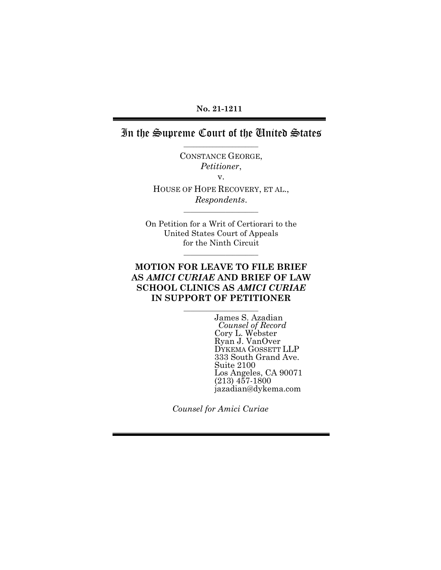#### **No. 21-1211**

## In the Supreme Court of the United States \_\_\_\_\_\_\_\_\_\_\_\_\_\_\_\_\_\_\_\_\_\_\_

CONSTANCE GEORGE, *Petitioner*, v.

HOUSE OF HOPE RECOVERY, ET AL., *Respondents*.

 $\overline{\phantom{a}}$  , where  $\overline{\phantom{a}}$ 

On Petition for a Writ of Certiorari to the United States Court of Appeals for the Ninth Circuit

\_\_\_\_\_\_\_\_\_\_\_\_\_\_\_\_\_\_\_\_\_\_\_

### **MOTION FOR LEAVE TO FILE BRIEF AS** *AMICI CURIAE* **AND BRIEF OF LAW SCHOOL CLINICS AS** *AMICI CURIAE* **IN SUPPORT OF PETITIONER**

 $\overline{\phantom{a}}$  , where  $\overline{\phantom{a}}$ 

James S. Azadian *Counsel of Record* Cory L. Webster Ryan J. VanOver DYKEMA GOSSETT LLP 333 South Grand Ave. Suite 2100 Los Angeles, CA 90071 (213) 457-1800 jazadian@dykema.com

*Counsel for Amici Curiae*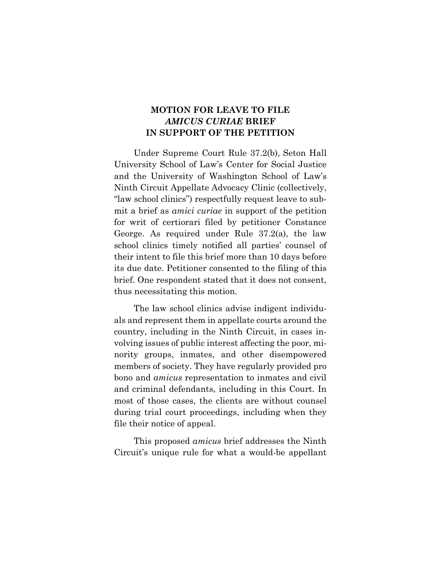## **MOTION FOR LEAVE TO FILE**  *AMICUS CURIAE* **BRIEF IN SUPPORT OF THE PETITION**

Under Supreme Court Rule 37.2(b), Seton Hall University School of Law's Center for Social Justice and the University of Washington School of Law's Ninth Circuit Appellate Advocacy Clinic (collectively, "law school clinics") respectfully request leave to submit a brief as *amici curiae* in support of the petition for writ of certiorari filed by petitioner Constance George. As required under Rule 37.2(a), the law school clinics timely notified all parties' counsel of their intent to file this brief more than 10 days before its due date. Petitioner consented to the filing of this brief. One respondent stated that it does not consent, thus necessitating this motion.

The law school clinics advise indigent individuals and represent them in appellate courts around the country, including in the Ninth Circuit, in cases involving issues of public interest affecting the poor, minority groups, inmates, and other disempowered members of society. They have regularly provided pro bono and *amicus* representation to inmates and civil and criminal defendants, including in this Court. In most of those cases, the clients are without counsel during trial court proceedings, including when they file their notice of appeal.

This proposed *amicus* brief addresses the Ninth Circuit's unique rule for what a would-be appellant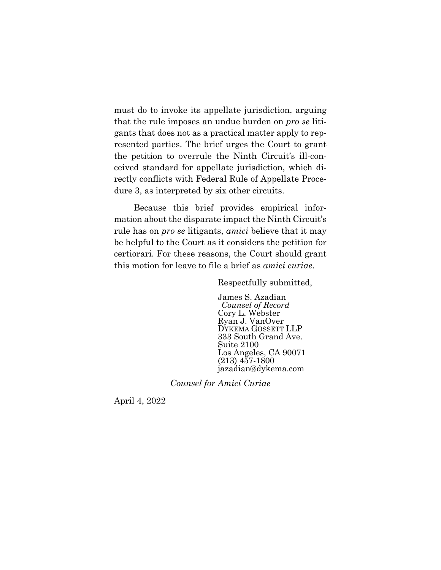must do to invoke its appellate jurisdiction, arguing that the rule imposes an undue burden on *pro se* litigants that does not as a practical matter apply to represented parties. The brief urges the Court to grant the petition to overrule the Ninth Circuit's ill-conceived standard for appellate jurisdiction, which directly conflicts with Federal Rule of Appellate Procedure 3, as interpreted by six other circuits.

Because this brief provides empirical information about the disparate impact the Ninth Circuit's rule has on *pro se* litigants, *amici* believe that it may be helpful to the Court as it considers the petition for certiorari. For these reasons, the Court should grant this motion for leave to file a brief as *amici curiae*.

Respectfully submitted,

James S. Azadian *Counsel of Record* Cory L. Webster Ryan J. VanOver DYKEMA GOSSETT LLP 333 South Grand Ave. Suite 2100 Los Angeles, CA 90071 (213) 457-1800 jazadian@dykema.com

*Counsel for Amici Curiae*

April 4, 2022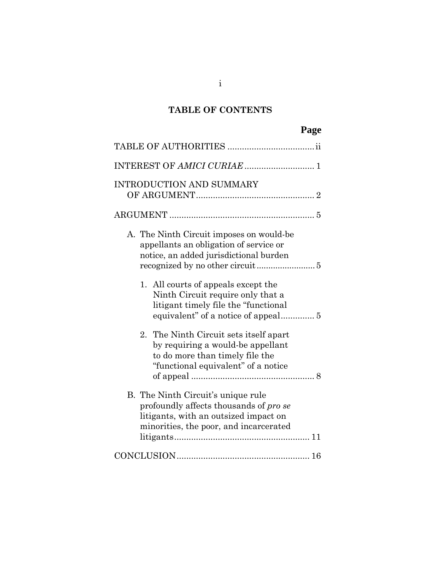## **TABLE OF CONTENTS**

|                                                                                                                                                                 | Page |
|-----------------------------------------------------------------------------------------------------------------------------------------------------------------|------|
|                                                                                                                                                                 |      |
|                                                                                                                                                                 |      |
| <b>INTRODUCTION AND SUMMARY</b>                                                                                                                                 |      |
|                                                                                                                                                                 |      |
| A. The Ninth Circuit imposes on would-be<br>appellants an obligation of service or<br>notice, an added jurisdictional burden                                    |      |
| 1. All courts of appeals except the<br>Ninth Circuit require only that a<br>litigant timely file the "functional"                                               |      |
| 2. The Ninth Circuit sets itself apart<br>by requiring a would-be appellant<br>to do more than timely file the<br>"functional equivalent" of a notice           |      |
| B. The Ninth Circuit's unique rule<br>profoundly affects thousands of pro se<br>litigants, with an outsized impact on<br>minorities, the poor, and incarcerated |      |
|                                                                                                                                                                 |      |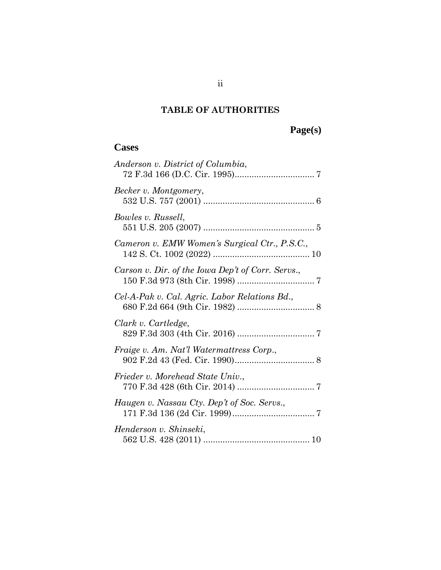## **TABLE OF AUTHORITIES**

# **Page(s)**

## **Cases**

| Anderson v. District of Columbia,                 |
|---------------------------------------------------|
| Becker v. Montgomery,                             |
| Bowles v. Russell,                                |
| Cameron v. EMW Women's Surgical Ctr., P.S.C.,     |
| Carson v. Dir. of the Iowa Dep't of Corr. Servs., |
| Cel-A-Pak v. Cal. Agric. Labor Relations Bd.,     |
| Clark v. Cartledge,                               |
| Fraige v. Am. Nat'l Watermattress Corp.,          |
| Frieder v. Morehead State Univ.,                  |
| Haugen v. Nassau Cty. Dep't of Soc. Servs.,       |
| Henderson v. Shinseki,                            |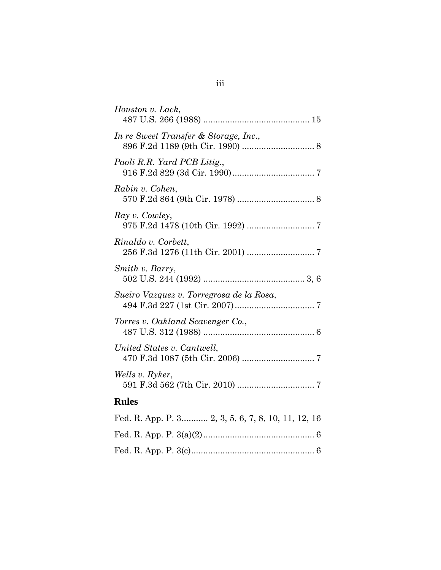| Houston v. Lack,                                   |
|----------------------------------------------------|
| In re Sweet Transfer & Storage, Inc.,              |
| Paoli R.R. Yard PCB Litig.,                        |
| Rabin v. Cohen,                                    |
| Ray v. Cowley,                                     |
| Rinaldo v. Corbett,                                |
| Smith v. Barry,                                    |
| Sueiro Vazquez v. Torregrosa de la Rosa,           |
| Torres v. Oakland Scavenger Co.,                   |
| United States v. Cantwell,                         |
| Wells v. Ryker,                                    |
| <b>Rules</b>                                       |
| Fed. R. App. P. 3 2, 3, 5, 6, 7, 8, 10, 11, 12, 16 |
|                                                    |

Fed. R. App. P. 3(c)................................................... 6

| × | × | ł |  |
|---|---|---|--|
|   | × |   |  |
|   |   |   |  |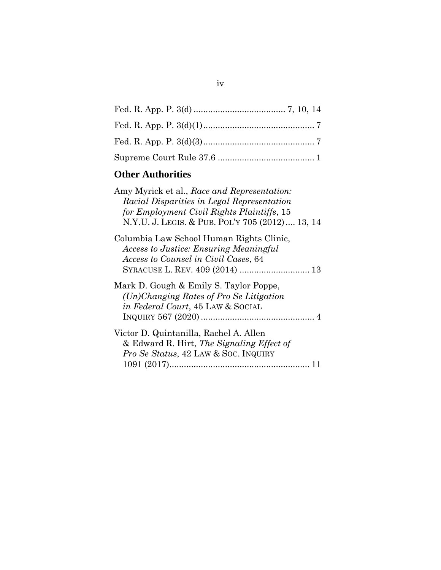# **Other Authorities**

| Amy Myrick et al., Race and Representation:<br>Racial Disparities in Legal Representation<br>for Employment Civil Rights Plaintiffs, 15<br>N.Y.U. J. LEGIS. & PUB. POL'Y 705 (2012) 13, 14 |
|--------------------------------------------------------------------------------------------------------------------------------------------------------------------------------------------|
| Columbia Law School Human Rights Clinic,<br><b>Access to Justice: Ensuring Meaningful</b><br>Access to Counsel in Civil Cases, 64                                                          |
| Mark D. Gough & Emily S. Taylor Poppe,<br>$(Un) Changing Rates of Pro Se Litigation$<br>in Federal Court, 45 LAW & SOCIAL                                                                  |
| Victor D. Quintanilla, Rachel A. Allen<br>& Edward R. Hirt, The Signaling Effect of<br><i>Pro Se Status, 42 LAW &amp; SOC. INQUIRY</i>                                                     |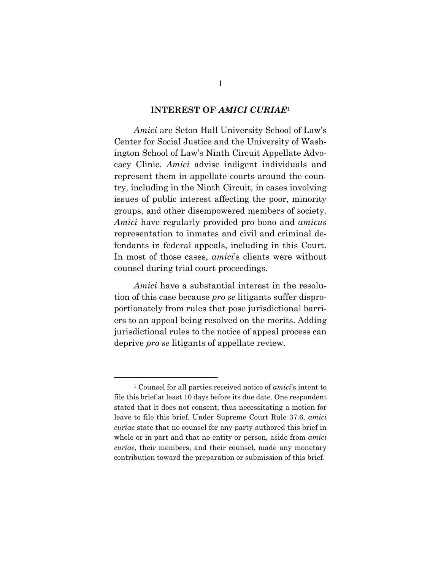#### **INTEREST OF** *AMICI CURIAE*<sup>1</sup>

*Amici* are Seton Hall University School of Law's Center for Social Justice and the University of Washington School of Law's Ninth Circuit Appellate Advocacy Clinic. *Amici* advise indigent individuals and represent them in appellate courts around the country, including in the Ninth Circuit, in cases involving issues of public interest affecting the poor, minority groups, and other disempowered members of society. *Amici* have regularly provided pro bono and *amicus* representation to inmates and civil and criminal defendants in federal appeals, including in this Court. In most of those cases, *amici*'s clients were without counsel during trial court proceedings.

*Amici* have a substantial interest in the resolution of this case because *pro se* litigants suffer disproportionately from rules that pose jurisdictional barriers to an appeal being resolved on the merits. Adding jurisdictional rules to the notice of appeal process can deprive *pro se* litigants of appellate review.

<sup>1</sup> Counsel for all parties received notice of *amici*'s intent to file this brief at least 10 days before its due date. One respondent stated that it does not consent, thus necessitating a motion for leave to file this brief. Under Supreme Court Rule 37.6, *amici curiae* state that no counsel for any party authored this brief in whole or in part and that no entity or person, aside from *amici curiae*, their members, and their counsel, made any monetary contribution toward the preparation or submission of this brief.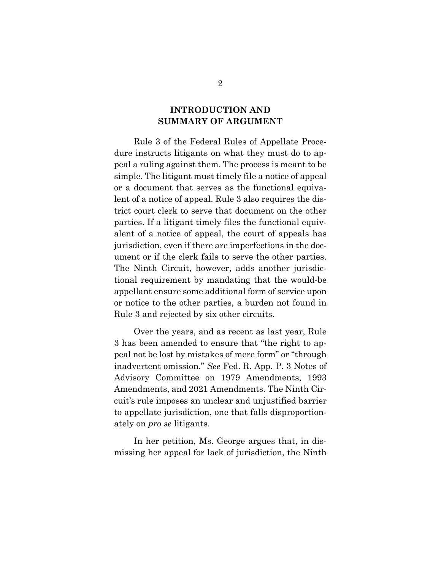## **INTRODUCTION AND SUMMARY OF ARGUMENT**

Rule 3 of the Federal Rules of Appellate Procedure instructs litigants on what they must do to appeal a ruling against them. The process is meant to be simple. The litigant must timely file a notice of appeal or a document that serves as the functional equivalent of a notice of appeal. Rule 3 also requires the district court clerk to serve that document on the other parties. If a litigant timely files the functional equivalent of a notice of appeal, the court of appeals has jurisdiction, even if there are imperfections in the document or if the clerk fails to serve the other parties. The Ninth Circuit, however, adds another jurisdictional requirement by mandating that the would-be appellant ensure some additional form of service upon or notice to the other parties, a burden not found in Rule 3 and rejected by six other circuits.

Over the years, and as recent as last year, Rule 3 has been amended to ensure that "the right to appeal not be lost by mistakes of mere form" or "through inadvertent omission." *See* Fed. R. App. P. 3 Notes of Advisory Committee on 1979 Amendments, 1993 Amendments, and 2021 Amendments. The Ninth Circuit's rule imposes an unclear and unjustified barrier to appellate jurisdiction, one that falls disproportionately on *pro se* litigants.

In her petition, Ms. George argues that, in dismissing her appeal for lack of jurisdiction, the Ninth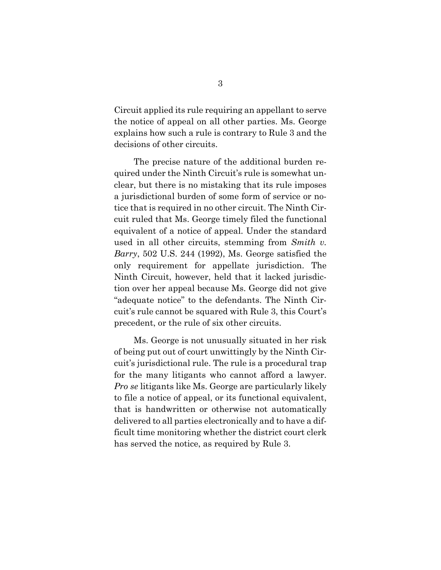Circuit applied its rule requiring an appellant to serve the notice of appeal on all other parties. Ms. George explains how such a rule is contrary to Rule 3 and the decisions of other circuits.

The precise nature of the additional burden required under the Ninth Circuit's rule is somewhat unclear, but there is no mistaking that its rule imposes a jurisdictional burden of some form of service or notice that is required in no other circuit. The Ninth Circuit ruled that Ms. George timely filed the functional equivalent of a notice of appeal. Under the standard used in all other circuits, stemming from *Smith v. Barry*, 502 U.S. 244 (1992), Ms. George satisfied the only requirement for appellate jurisdiction. The Ninth Circuit, however, held that it lacked jurisdiction over her appeal because Ms. George did not give "adequate notice" to the defendants. The Ninth Circuit's rule cannot be squared with Rule 3, this Court's precedent, or the rule of six other circuits.

Ms. George is not unusually situated in her risk of being put out of court unwittingly by the Ninth Circuit's jurisdictional rule. The rule is a procedural trap for the many litigants who cannot afford a lawyer. *Pro se* litigants like Ms. George are particularly likely to file a notice of appeal, or its functional equivalent, that is handwritten or otherwise not automatically delivered to all parties electronically and to have a difficult time monitoring whether the district court clerk has served the notice, as required by Rule 3.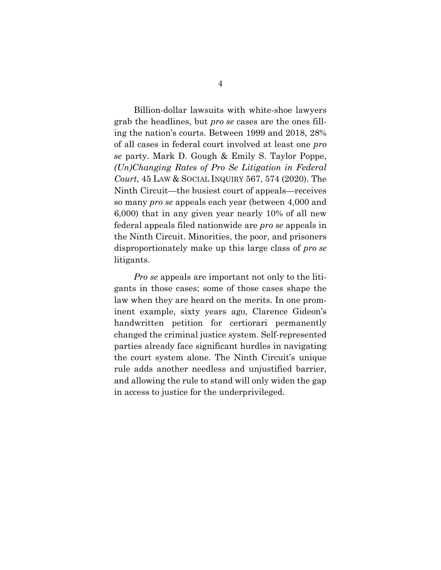Billion-dollar lawsuits with white-shoe lawyers grab the headlines, but *pro se* cases are the ones filling the nation's courts. Between 1999 and 2018, 28% of all cases in federal court involved at least one *pro se* party. Mark D. Gough & Emily S. Taylor Poppe, *(Un)Changing Rates of Pro Se Litigation in Federal Court*, 45 LAW & SOCIAL INQUIRY 567, 574 (2020). The Ninth Circuit—the busiest court of appeals—receives so many *pro se* appeals each year (between 4,000 and 6,000) that in any given year nearly 10% of all new federal appeals filed nationwide are *pro se* appeals in the Ninth Circuit. Minorities, the poor, and prisoners disproportionately make up this large class of *pro se* litigants.

*Pro se* appeals are important not only to the litigants in those cases; some of those cases shape the law when they are heard on the merits. In one prominent example, sixty years ago, Clarence Gideon's handwritten petition for certiorari permanently changed the criminal justice system. Self-represented parties already face significant hurdles in navigating the court system alone. The Ninth Circuit's unique rule adds another needless and unjustified barrier, and allowing the rule to stand will only widen the gap in access to justice for the underprivileged.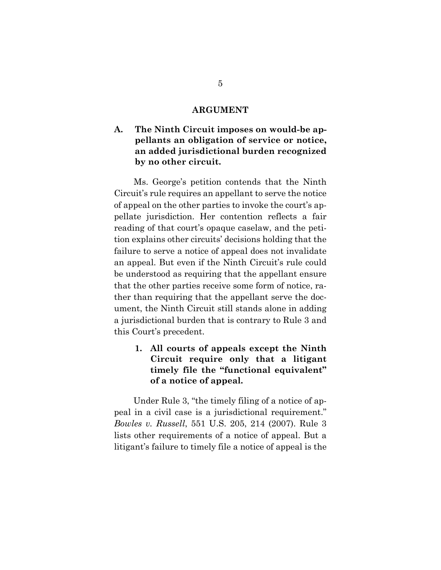#### **ARGUMENT**

## **A. The Ninth Circuit imposes on would-be appellants an obligation of service or notice, an added jurisdictional burden recognized by no other circuit.**

Ms. George's petition contends that the Ninth Circuit's rule requires an appellant to serve the notice of appeal on the other parties to invoke the court's appellate jurisdiction. Her contention reflects a fair reading of that court's opaque caselaw, and the petition explains other circuits' decisions holding that the failure to serve a notice of appeal does not invalidate an appeal. But even if the Ninth Circuit's rule could be understood as requiring that the appellant ensure that the other parties receive some form of notice, rather than requiring that the appellant serve the document, the Ninth Circuit still stands alone in adding a jurisdictional burden that is contrary to Rule 3 and this Court's precedent.

**1. All courts of appeals except the Ninth Circuit require only that a litigant timely file the "functional equivalent" of a notice of appeal.**

Under Rule 3, "the timely filing of a notice of appeal in a civil case is a jurisdictional requirement." *Bowles v. Russell*, 551 U.S. 205, 214 (2007). Rule 3 lists other requirements of a notice of appeal. But a litigant's failure to timely file a notice of appeal is the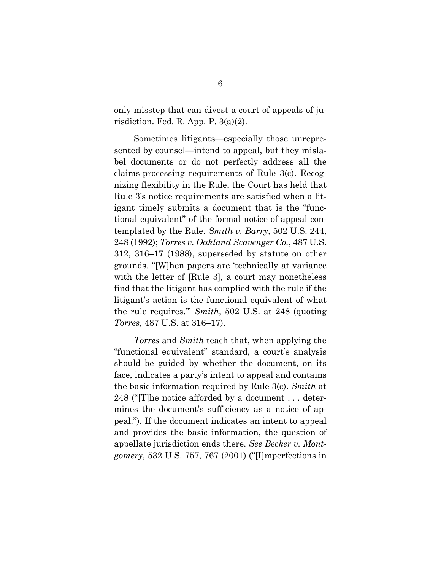only misstep that can divest a court of appeals of jurisdiction. Fed. R. App. P. 3(a)(2).

Sometimes litigants—especially those unrepresented by counsel—intend to appeal, but they mislabel documents or do not perfectly address all the claims-processing requirements of Rule 3(c). Recognizing flexibility in the Rule, the Court has held that Rule 3's notice requirements are satisfied when a litigant timely submits a document that is the "functional equivalent" of the formal notice of appeal contemplated by the Rule. *Smith v. Barry*, 502 U.S. 244, 248 (1992); *Torres v. Oakland Scavenger Co.*, 487 U.S. 312, 316–17 (1988), superseded by statute on other grounds. "[W]hen papers are 'technically at variance with the letter of [Rule 3], a court may nonetheless find that the litigant has complied with the rule if the litigant's action is the functional equivalent of what the rule requires.'" *Smith*, 502 U.S. at 248 (quoting *Torres*, 487 U.S. at 316–17).

*Torres* and *Smith* teach that, when applying the "functional equivalent" standard, a court's analysis should be guided by whether the document, on its face, indicates a party's intent to appeal and contains the basic information required by Rule 3(c). *Smith* at 248 ("[T]he notice afforded by a document . . . determines the document's sufficiency as a notice of appeal."). If the document indicates an intent to appeal and provides the basic information, the question of appellate jurisdiction ends there. *See Becker v. Montgomery*, 532 U.S. 757, 767 (2001) ("[I]mperfections in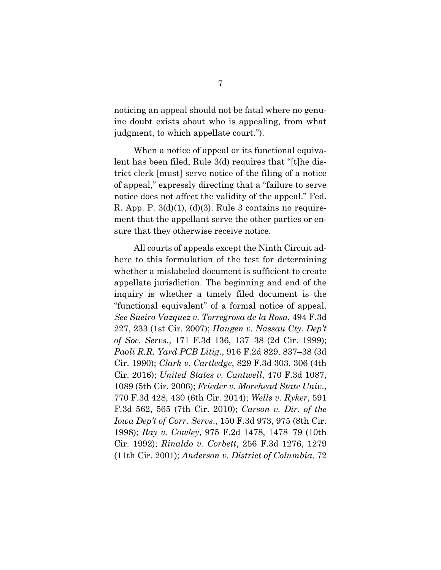noticing an appeal should not be fatal where no genuine doubt exists about who is appealing, from what judgment, to which appellate court.").

When a notice of appeal or its functional equivalent has been filed, Rule 3(d) requires that "[t]he district clerk [must] serve notice of the filing of a notice of appeal," expressly directing that a "failure to serve notice does not affect the validity of the appeal." Fed. R. App. P.  $3(d)(1)$ ,  $(d)(3)$ . Rule 3 contains no requirement that the appellant serve the other parties or ensure that they otherwise receive notice.

All courts of appeals except the Ninth Circuit adhere to this formulation of the test for determining whether a mislabeled document is sufficient to create appellate jurisdiction. The beginning and end of the inquiry is whether a timely filed document is the "functional equivalent" of a formal notice of appeal. *See Sueiro Vazquez v. Torregrosa de la Rosa*, 494 F.3d 227, 233 (1st Cir. 2007); *Haugen v. Nassau Cty. Dep't of Soc. Servs*., 171 F.3d 136, 137–38 (2d Cir. 1999); *Paoli R.R. Yard PCB Litig*., 916 F.2d 829, 837–38 (3d Cir. 1990); *Clark v. Cartledge*, 829 F.3d 303, 306 (4th Cir. 2016); *United States v. Cantwell*, 470 F.3d 1087, 1089 (5th Cir. 2006); *Frieder v. Morehead State Univ*., 770 F.3d 428, 430 (6th Cir. 2014); *Wells v. Ryker*, 591 F.3d 562, 565 (7th Cir. 2010); *Carson v. Dir. of the Iowa Dep't of Corr. Servs*., 150 F.3d 973, 975 (8th Cir. 1998); *Ray v. Cowley*, 975 F.2d 1478, 1478–79 (10th Cir. 1992); *Rinaldo v. Corbett*, 256 F.3d 1276, 1279 (11th Cir. 2001); *Anderson v. District of Columbia*, 72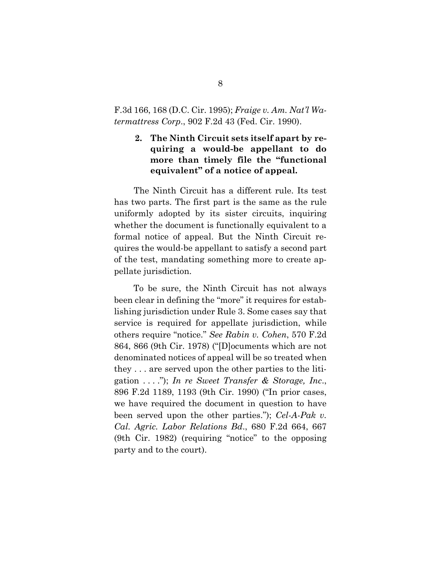### F.3d 166, 168 (D.C. Cir. 1995); *Fraige v. Am. Nat'l Watermattress Corp*., 902 F.2d 43 (Fed. Cir. 1990).

## **2. The Ninth Circuit sets itself apart by requiring a would-be appellant to do more than timely file the "functional equivalent" of a notice of appeal.**

The Ninth Circuit has a different rule. Its test has two parts. The first part is the same as the rule uniformly adopted by its sister circuits, inquiring whether the document is functionally equivalent to a formal notice of appeal. But the Ninth Circuit requires the would-be appellant to satisfy a second part of the test, mandating something more to create appellate jurisdiction.

To be sure, the Ninth Circuit has not always been clear in defining the "more" it requires for establishing jurisdiction under Rule 3. Some cases say that service is required for appellate jurisdiction, while others require "notice." *See Rabin v. Cohen*, 570 F.2d 864, 866 (9th Cir. 1978) ("[D]ocuments which are not denominated notices of appeal will be so treated when they . . . are served upon the other parties to the litigation . . . ."); *In re Sweet Transfer & Storage, Inc*., 896 F.2d 1189, 1193 (9th Cir. 1990) ("In prior cases, we have required the document in question to have been served upon the other parties."); *Cel-A-Pak v. Cal. Agric. Labor Relations Bd*., 680 F.2d 664, 667 (9th Cir. 1982) (requiring "notice" to the opposing party and to the court).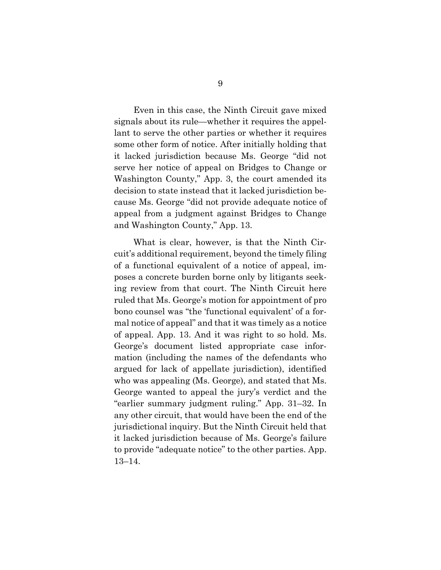Even in this case, the Ninth Circuit gave mixed signals about its rule—whether it requires the appellant to serve the other parties or whether it requires some other form of notice. After initially holding that it lacked jurisdiction because Ms. George "did not serve her notice of appeal on Bridges to Change or Washington County," App. 3, the court amended its decision to state instead that it lacked jurisdiction because Ms. George "did not provide adequate notice of appeal from a judgment against Bridges to Change and Washington County," App. 13.

What is clear, however, is that the Ninth Circuit's additional requirement, beyond the timely filing of a functional equivalent of a notice of appeal, imposes a concrete burden borne only by litigants seeking review from that court. The Ninth Circuit here ruled that Ms. George's motion for appointment of pro bono counsel was "the 'functional equivalent' of a formal notice of appeal" and that it was timely as a notice of appeal. App. 13. And it was right to so hold. Ms. George's document listed appropriate case information (including the names of the defendants who argued for lack of appellate jurisdiction), identified who was appealing (Ms. George), and stated that Ms. George wanted to appeal the jury's verdict and the "earlier summary judgment ruling." App. 31–32. In any other circuit, that would have been the end of the jurisdictional inquiry. But the Ninth Circuit held that it lacked jurisdiction because of Ms. George's failure to provide "adequate notice" to the other parties. App. 13–14.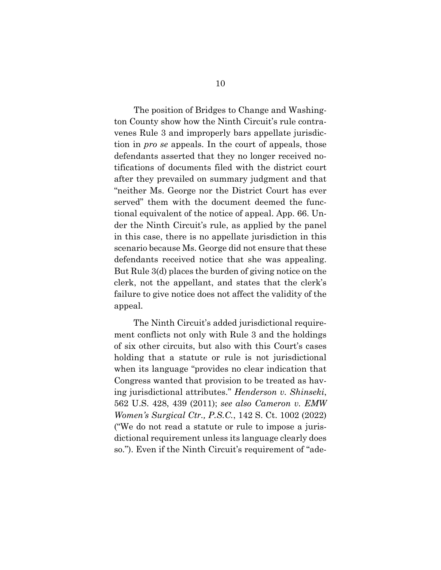The position of Bridges to Change and Washington County show how the Ninth Circuit's rule contravenes Rule 3 and improperly bars appellate jurisdiction in *pro se* appeals. In the court of appeals, those defendants asserted that they no longer received notifications of documents filed with the district court after they prevailed on summary judgment and that "neither Ms. George nor the District Court has ever served" them with the document deemed the functional equivalent of the notice of appeal. App. 66. Under the Ninth Circuit's rule, as applied by the panel in this case, there is no appellate jurisdiction in this scenario because Ms. George did not ensure that these defendants received notice that she was appealing. But Rule 3(d) places the burden of giving notice on the clerk, not the appellant, and states that the clerk's failure to give notice does not affect the validity of the appeal.

The Ninth Circuit's added jurisdictional requirement conflicts not only with Rule 3 and the holdings of six other circuits, but also with this Court's cases holding that a statute or rule is not jurisdictional when its language "provides no clear indication that Congress wanted that provision to be treated as having jurisdictional attributes." *Henderson v. Shinseki*, 562 U.S. 428, 439 (2011); *see also Cameron v. EMW Women's Surgical Ctr., P.S.C.*, 142 S. Ct. 1002 (2022) ("We do not read a statute or rule to impose a jurisdictional requirement unless its language clearly does so."). Even if the Ninth Circuit's requirement of "ade-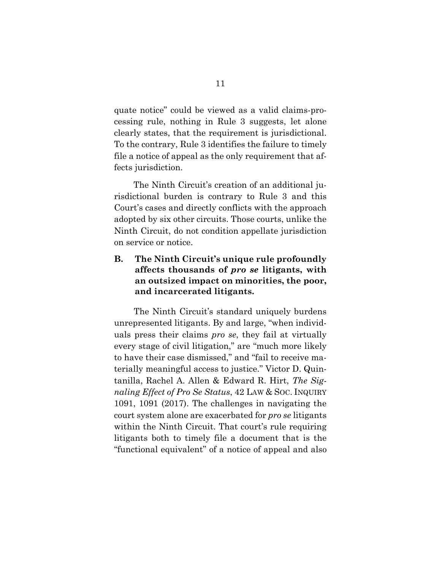quate notice" could be viewed as a valid claims-processing rule, nothing in Rule 3 suggests, let alone clearly states, that the requirement is jurisdictional. To the contrary, Rule 3 identifies the failure to timely file a notice of appeal as the only requirement that affects jurisdiction.

The Ninth Circuit's creation of an additional jurisdictional burden is contrary to Rule 3 and this Court's cases and directly conflicts with the approach adopted by six other circuits. Those courts, unlike the Ninth Circuit, do not condition appellate jurisdiction on service or notice.

## **B. The Ninth Circuit's unique rule profoundly affects thousands of** *pro se* **litigants, with an outsized impact on minorities, the poor, and incarcerated litigants.**

The Ninth Circuit's standard uniquely burdens unrepresented litigants. By and large, "when individuals press their claims *pro se*, they fail at virtually every stage of civil litigation," are "much more likely to have their case dismissed," and "fail to receive materially meaningful access to justice." Victor D. Quintanilla, Rachel A. Allen & Edward R. Hirt, *The Signaling Effect of Pro Se Status*, 42 LAW & SOC. INQUIRY 1091, 1091 (2017). The challenges in navigating the court system alone are exacerbated for *pro se* litigants within the Ninth Circuit. That court's rule requiring litigants both to timely file a document that is the "functional equivalent" of a notice of appeal and also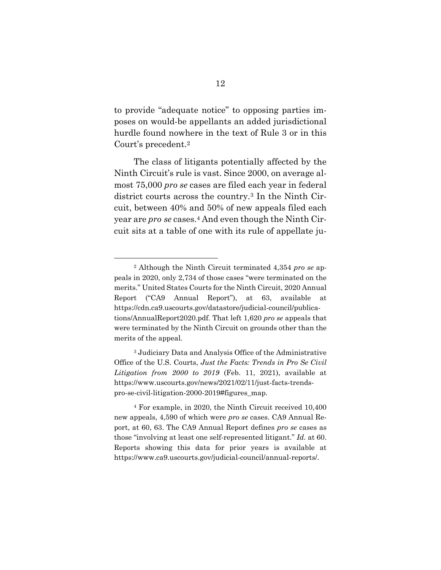to provide "adequate notice" to opposing parties imposes on would-be appellants an added jurisdictional hurdle found nowhere in the text of Rule 3 or in this Court's precedent.<sup>2</sup>

The class of litigants potentially affected by the Ninth Circuit's rule is vast. Since 2000, on average almost 75,000 *pro se* cases are filed each year in federal district courts across the country.<sup>3</sup> In the Ninth Circuit, between 40% and 50% of new appeals filed each year are *pro se* cases.<sup>4</sup> And even though the Ninth Circuit sits at a table of one with its rule of appellate ju-

<sup>2</sup> Although the Ninth Circuit terminated 4,354 *pro se* appeals in 2020, only 2,734 of those cases "were terminated on the merits." United States Courts for the Ninth Circuit, 2020 Annual Report ("CA9 Annual Report"), at 63, available at https://cdn.ca9.uscourts.gov/datastore/judicial-council/publications/AnnualReport2020.pdf. That left 1,620 *pro se* appeals that were terminated by the Ninth Circuit on grounds other than the merits of the appeal.

<sup>3</sup> Judiciary Data and Analysis Office of the Administrative Office of the U.S. Courts, *Just the Facts: Trends in Pro Se Civil Litigation from 2000 to 2019* (Feb. 11, 2021), available at https://www.uscourts.gov/news/2021/02/11/just-facts-trendspro-se-civil-litigation-2000-2019#figures\_map.

<sup>4</sup> For example, in 2020, the Ninth Circuit received 10,400 new appeals, 4,590 of which were *pro se* cases. CA9 Annual Report, at 60, 63. The CA9 Annual Report defines *pro se* cases as those "involving at least one self-represented litigant." *Id.* at 60. Reports showing this data for prior years is available at https://www.ca9.uscourts.gov/judicial-council/annual-reports/.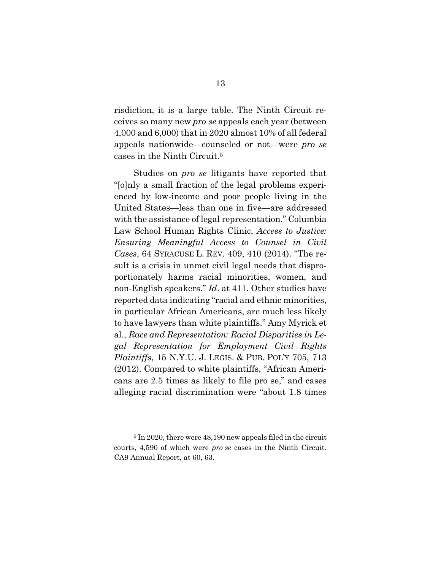risdiction, it is a large table. The Ninth Circuit receives so many new *pro se* appeals each year (between 4,000 and 6,000) that in 2020 almost 10% of all federal appeals nationwide—counseled or not—were *pro se* cases in the Ninth Circuit.<sup>5</sup>

Studies on *pro se* litigants have reported that "[o]nly a small fraction of the legal problems experienced by low-income and poor people living in the United States—less than one in five—are addressed with the assistance of legal representation." Columbia Law School Human Rights Clinic, *Access to Justice: Ensuring Meaningful Access to Counsel in Civil Cases*, 64 SYRACUSE L. REV. 409, 410 (2014). "The result is a crisis in unmet civil legal needs that disproportionately harms racial minorities, women, and non-English speakers." *Id*. at 411. Other studies have reported data indicating "racial and ethnic minorities, in particular African Americans, are much less likely to have lawyers than white plaintiffs." Amy Myrick et al., *Race and Representation: Racial Disparities in Legal Representation for Employment Civil Rights Plaintiffs*, 15 N.Y.U. J. LEGIS. & PUB. POL'Y 705, 713 (2012). Compared to white plaintiffs, "African Americans are 2.5 times as likely to file pro se," and cases alleging racial discrimination were "about 1.8 times

<sup>&</sup>lt;sup>5</sup> In 2020, there were 48,190 new appeals filed in the circuit courts, 4,590 of which were *pro se* cases in the Ninth Circuit. CA9 Annual Report, at 60, 63.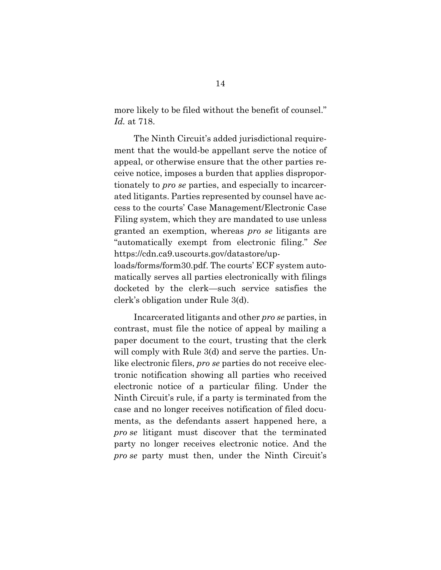more likely to be filed without the benefit of counsel." *Id.* at 718.

The Ninth Circuit's added jurisdictional requirement that the would-be appellant serve the notice of appeal, or otherwise ensure that the other parties receive notice, imposes a burden that applies disproportionately to *pro se* parties, and especially to incarcerated litigants. Parties represented by counsel have access to the courts' Case Management/Electronic Case Filing system, which they are mandated to use unless granted an exemption, whereas *pro se* litigants are "automatically exempt from electronic filing." *See* https://cdn.ca9.uscourts.gov/datastore/uploads/forms/form30.pdf. The courts' ECF system auto-

matically serves all parties electronically with filings docketed by the clerk—such service satisfies the clerk's obligation under Rule 3(d).

Incarcerated litigants and other *pro se* parties, in contrast, must file the notice of appeal by mailing a paper document to the court, trusting that the clerk will comply with Rule 3(d) and serve the parties. Unlike electronic filers, *pro se* parties do not receive electronic notification showing all parties who received electronic notice of a particular filing. Under the Ninth Circuit's rule, if a party is terminated from the case and no longer receives notification of filed documents, as the defendants assert happened here, a *pro se* litigant must discover that the terminated party no longer receives electronic notice. And the *pro se* party must then, under the Ninth Circuit's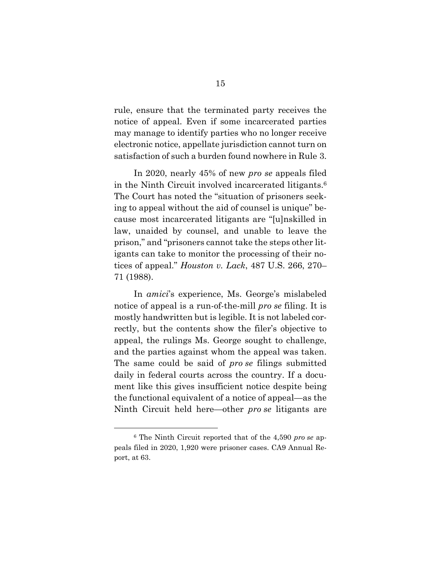rule, ensure that the terminated party receives the notice of appeal. Even if some incarcerated parties may manage to identify parties who no longer receive electronic notice, appellate jurisdiction cannot turn on satisfaction of such a burden found nowhere in Rule 3.

In 2020, nearly 45% of new *pro se* appeals filed in the Ninth Circuit involved incarcerated litigants.<sup>6</sup> The Court has noted the "situation of prisoners seeking to appeal without the aid of counsel is unique" because most incarcerated litigants are "[u]nskilled in law, unaided by counsel, and unable to leave the prison," and "prisoners cannot take the steps other litigants can take to monitor the processing of their notices of appeal." *Houston v. Lack*, 487 U.S. 266, 270– 71 (1988).

In *amici*'s experience, Ms. George's mislabeled notice of appeal is a run-of-the-mill *pro se* filing. It is mostly handwritten but is legible. It is not labeled correctly, but the contents show the filer's objective to appeal, the rulings Ms. George sought to challenge, and the parties against whom the appeal was taken. The same could be said of *pro se* filings submitted daily in federal courts across the country. If a document like this gives insufficient notice despite being the functional equivalent of a notice of appeal—as the Ninth Circuit held here—other *pro se* litigants are

<sup>6</sup> The Ninth Circuit reported that of the 4,590 *pro se* appeals filed in 2020, 1,920 were prisoner cases. CA9 Annual Report, at 63.